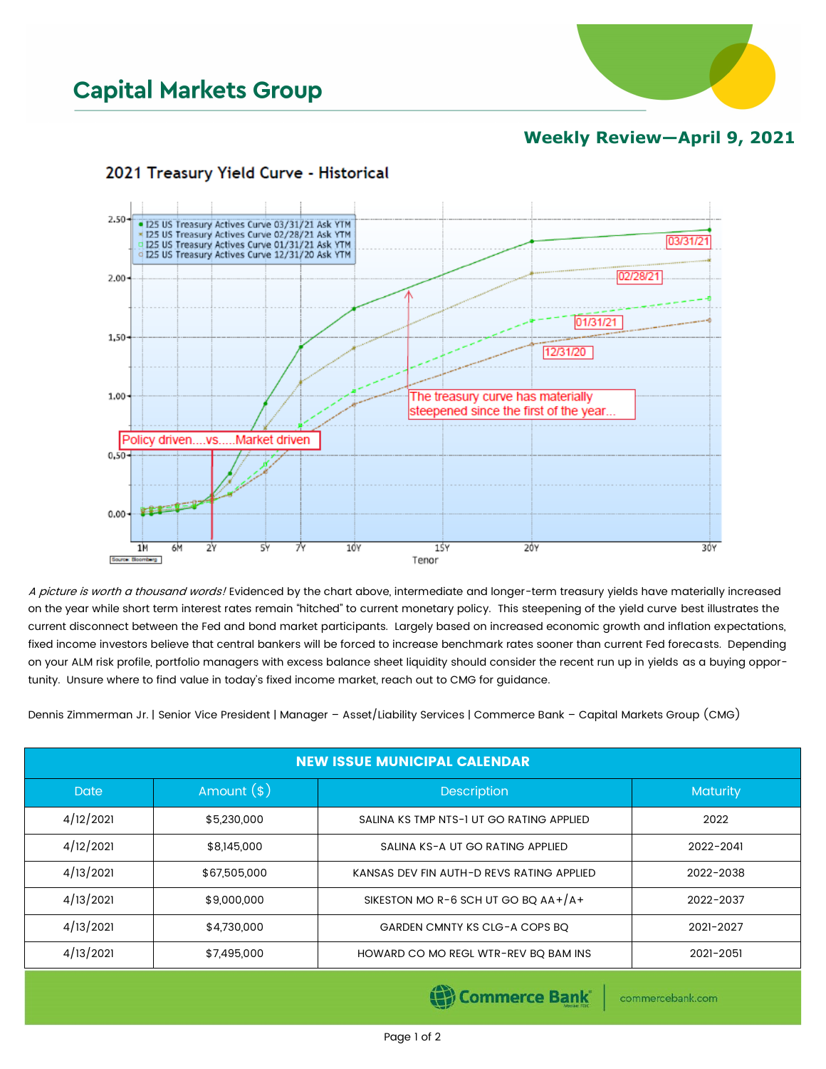

## **Weekly Review—April 9, 2021**



## 2021 Treasury Yield Curve - Historical

A picture is worth a thousand words! Evidenced by the chart above, intermediate and longer-term treasury yields have materially increased on the year while short term interest rates remain "hitched" to current monetary policy. This steepening of the yield curve best illustrates the current disconnect between the Fed and bond market participants. Largely based on increased economic growth and inflation expectations, fixed income investors believe that central bankers will be forced to increase benchmark rates sooner than current Fed forecasts. Depending on your ALM risk profile, portfolio managers with excess balance sheet liquidity should consider the recent run up in yields as a buying opportunity. Unsure where to find value in today's fixed income market, reach out to CMG for guidance.

Dennis Zimmerman Jr. | Senior Vice President | Manager – Asset/Liability Services | Commerce Bank – Capital Markets Group (CMG)

| <b>NEW ISSUE MUNICIPAL CALENDAR</b> |              |                                           |           |  |  |  |  |
|-------------------------------------|--------------|-------------------------------------------|-----------|--|--|--|--|
| <b>Date</b>                         | Amount $(*)$ | <b>Description</b>                        | Maturity  |  |  |  |  |
| 4/12/2021                           | \$5,230,000  | SALINA KS TMP NTS-1 UT GO RATING APPLIED  | 2022      |  |  |  |  |
| 4/12/2021                           | \$8,145,000  | SALINA KS-A UT GO RATING APPLIED          | 2022-2041 |  |  |  |  |
| 4/13/2021                           | \$67,505,000 | KANSAS DEV FIN AUTH-D REVS RATING APPLIED | 2022-2038 |  |  |  |  |
| 4/13/2021                           | \$9,000,000  | SIKESTON MO R-6 SCH UT GO BQ $AA+/A+$     | 2022-2037 |  |  |  |  |
| 4/13/2021                           | \$4,730,000  | GARDEN CMNTY KS CLG-A COPS BQ             | 2021-2027 |  |  |  |  |
| 4/13/2021                           | \$7,495,000  | HOWARD CO MO REGL WTR-REV BQ BAM INS      | 2021-2051 |  |  |  |  |

(Commerce Bank

commercebank.com